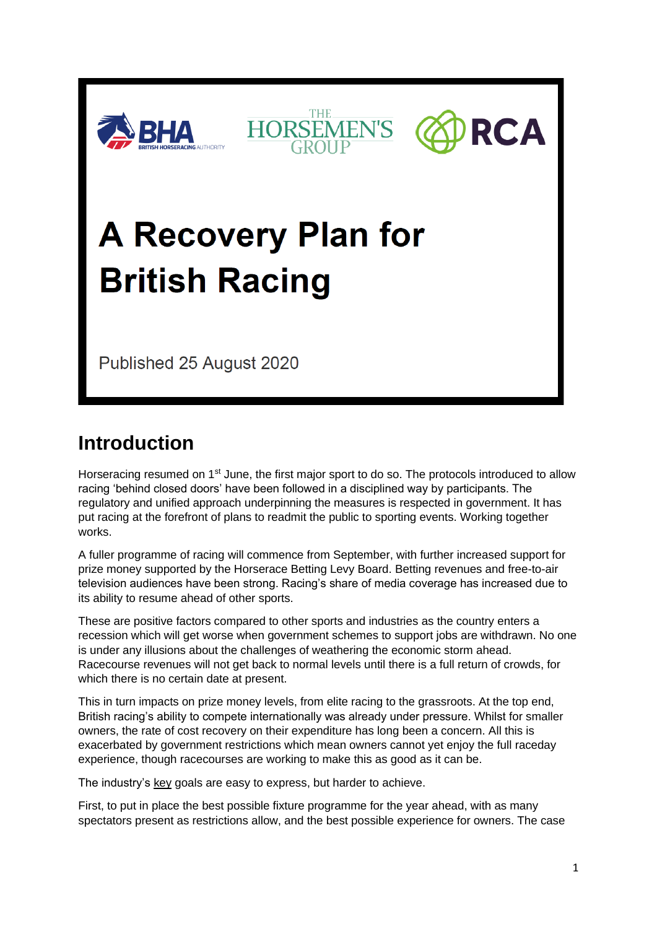





# **A Recovery Plan for British Racing**

Published 25 August 2020

## **Introduction**

Horseracing resumed on 1<sup>st</sup> June, the first major sport to do so. The protocols introduced to allow racing 'behind closed doors' have been followed in a disciplined way by participants. The regulatory and unified approach underpinning the measures is respected in government. It has put racing at the forefront of plans to readmit the public to sporting events. Working together works.

A fuller programme of racing will commence from September, with further increased support for prize money supported by the Horserace Betting Levy Board. Betting revenues and free-to-air television audiences have been strong. Racing's share of media coverage has increased due to its ability to resume ahead of other sports.

These are positive factors compared to other sports and industries as the country enters a recession which will get worse when government schemes to support jobs are withdrawn. No one is under any illusions about the challenges of weathering the economic storm ahead. Racecourse revenues will not get back to normal levels until there is a full return of crowds, for which there is no certain date at present.

This in turn impacts on prize money levels, from elite racing to the grassroots. At the top end, British racing's ability to compete internationally was already under pressure. Whilst for smaller owners, the rate of cost recovery on their expenditure has long been a concern. All this is exacerbated by government restrictions which mean owners cannot yet enjoy the full raceday experience, though racecourses are working to make this as good as it can be.

The industry's key goals are easy to express, but harder to achieve.

First, to put in place the best possible fixture programme for the year ahead, with as many spectators present as restrictions allow, and the best possible experience for owners. The case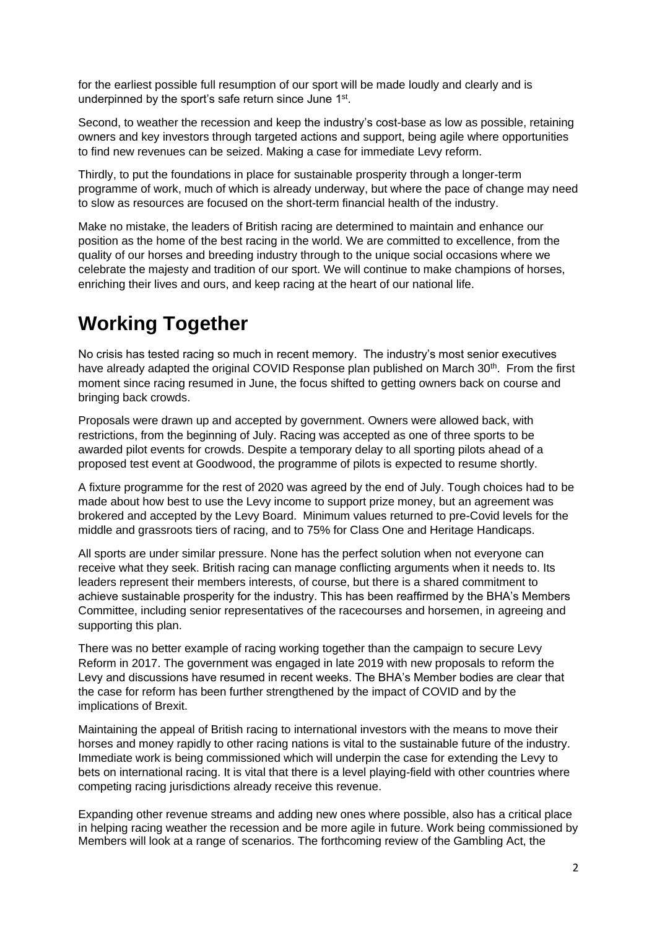for the earliest possible full resumption of our sport will be made loudly and clearly and is underpinned by the sport's safe return since June 1<sup>st</sup>.

Second, to weather the recession and keep the industry's cost-base as low as possible, retaining owners and key investors through targeted actions and support, being agile where opportunities to find new revenues can be seized. Making a case for immediate Levy reform.

Thirdly, to put the foundations in place for sustainable prosperity through a longer-term programme of work, much of which is already underway, but where the pace of change may need to slow as resources are focused on the short-term financial health of the industry.

Make no mistake, the leaders of British racing are determined to maintain and enhance our position as the home of the best racing in the world. We are committed to excellence, from the quality of our horses and breeding industry through to the unique social occasions where we celebrate the majesty and tradition of our sport. We will continue to make champions of horses, enriching their lives and ours, and keep racing at the heart of our national life.

## **Working Together**

No crisis has tested racing so much in recent memory. The industry's most senior executives have already adapted the original COVID Response plan published on March 30<sup>th</sup>. From the first moment since racing resumed in June, the focus shifted to getting owners back on course and bringing back crowds.

Proposals were drawn up and accepted by government. Owners were allowed back, with restrictions, from the beginning of July. Racing was accepted as one of three sports to be awarded pilot events for crowds. Despite a temporary delay to all sporting pilots ahead of a proposed test event at Goodwood, the programme of pilots is expected to resume shortly.

A fixture programme for the rest of 2020 was agreed by the end of July. Tough choices had to be made about how best to use the Levy income to support prize money, but an agreement was brokered and accepted by the Levy Board. Minimum values returned to pre-Covid levels for the middle and grassroots tiers of racing, and to 75% for Class One and Heritage Handicaps.

All sports are under similar pressure. None has the perfect solution when not everyone can receive what they seek. British racing can manage conflicting arguments when it needs to. Its leaders represent their members interests, of course, but there is a shared commitment to achieve sustainable prosperity for the industry. This has been reaffirmed by the BHA's Members Committee, including senior representatives of the racecourses and horsemen, in agreeing and supporting this plan.

There was no better example of racing working together than the campaign to secure Levy Reform in 2017. The government was engaged in late 2019 with new proposals to reform the Levy and discussions have resumed in recent weeks. The BHA's Member bodies are clear that the case for reform has been further strengthened by the impact of COVID and by the implications of Brexit.

Maintaining the appeal of British racing to international investors with the means to move their horses and money rapidly to other racing nations is vital to the sustainable future of the industry. Immediate work is being commissioned which will underpin the case for extending the Levy to bets on international racing. It is vital that there is a level playing-field with other countries where competing racing jurisdictions already receive this revenue.

Expanding other revenue streams and adding new ones where possible, also has a critical place in helping racing weather the recession and be more agile in future. Work being commissioned by Members will look at a range of scenarios. The forthcoming review of the Gambling Act, the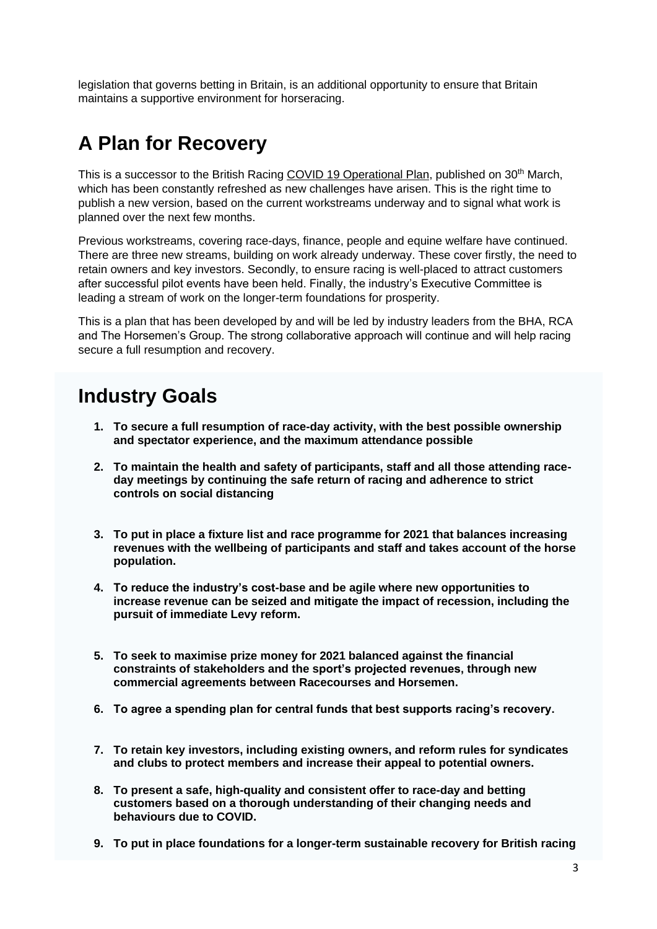legislation that governs betting in Britain, is an additional opportunity to ensure that Britain maintains a supportive environment for horseracing.

## **A Plan for Recovery**

This is a successor to the British Racing [COVID 19 Operational Plan,](http://media.britishhorseracing.com/bha/covid19/Operational_Plan.pdf) published on 30<sup>th</sup> March, which has been constantly refreshed as new challenges have arisen. This is the right time to publish a new version, based on the current workstreams underway and to signal what work is planned over the next few months.

Previous workstreams, covering race-days, finance, people and equine welfare have continued. There are three new streams, building on work already underway. These cover firstly, the need to retain owners and key investors. Secondly, to ensure racing is well-placed to attract customers after successful pilot events have been held. Finally, the industry's Executive Committee is leading a stream of work on the longer-term foundations for prosperity.

This is a plan that has been developed by and will be led by industry leaders from the BHA, RCA and The Horsemen's Group. The strong collaborative approach will continue and will help racing secure a full resumption and recovery.

## **Industry Goals**

- **1. To secure a full resumption of race-day activity, with the best possible ownership and spectator experience, and the maximum attendance possible**
- **2. To maintain the health and safety of participants, staff and all those attending raceday meetings by continuing the safe return of racing and adherence to strict controls on social distancing**
- **3. To put in place a fixture list and race programme for 2021 that balances increasing revenues with the wellbeing of participants and staff and takes account of the horse population.**
- **4. To reduce the industry's cost-base and be agile where new opportunities to increase revenue can be seized and mitigate the impact of recession, including the pursuit of immediate Levy reform.**
- **5. To seek to maximise prize money for 2021 balanced against the financial constraints of stakeholders and the sport's projected revenues, through new commercial agreements between Racecourses and Horsemen.**
- **6. To agree a spending plan for central funds that best supports racing's recovery.**
- **7. To retain key investors, including existing owners, and reform rules for syndicates and clubs to protect members and increase their appeal to potential owners.**
- **8. To present a safe, high-quality and consistent offer to race-day and betting customers based on a thorough understanding of their changing needs and behaviours due to COVID.**
- **9. To put in place foundations for a longer-term sustainable recovery for British racing**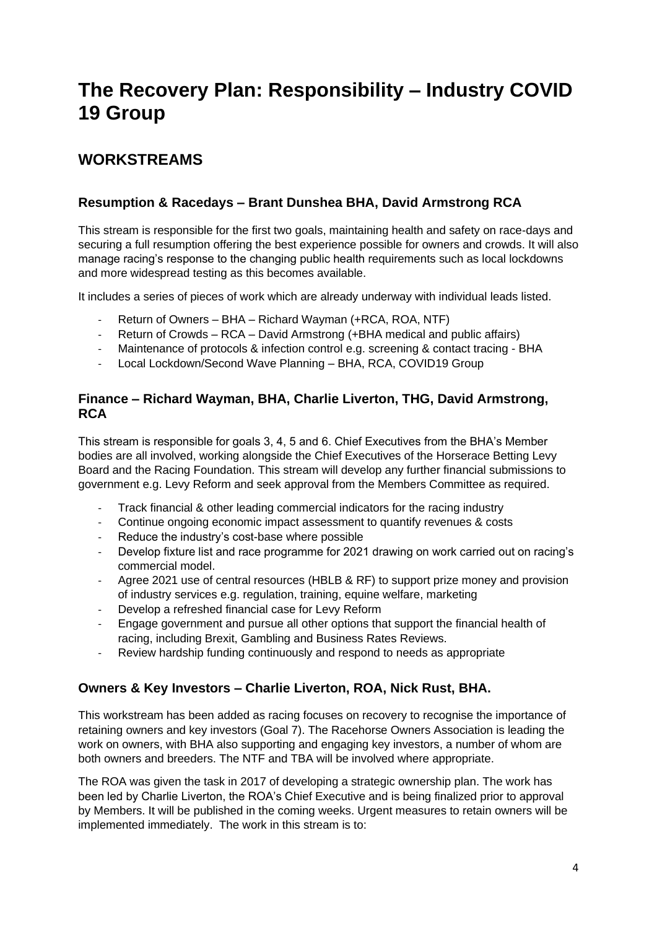## **The Recovery Plan: Responsibility – Industry COVID 19 Group**

### **WORKSTREAMS**

#### **Resumption & Racedays – Brant Dunshea BHA, David Armstrong RCA**

This stream is responsible for the first two goals, maintaining health and safety on race-days and securing a full resumption offering the best experience possible for owners and crowds. It will also manage racing's response to the changing public health requirements such as local lockdowns and more widespread testing as this becomes available.

It includes a series of pieces of work which are already underway with individual leads listed.

- Return of Owners BHA Richard Wayman (+RCA, ROA, NTF)
- Return of Crowds RCA David Armstrong (+BHA medical and public affairs)
- Maintenance of protocols & infection control e.g. screening & contact tracing BHA
- Local Lockdown/Second Wave Planning BHA, RCA, COVID19 Group

#### **Finance – Richard Wayman, BHA, Charlie Liverton, THG, David Armstrong, RCA**

This stream is responsible for goals 3, 4, 5 and 6. Chief Executives from the BHA's Member bodies are all involved, working alongside the Chief Executives of the Horserace Betting Levy Board and the Racing Foundation. This stream will develop any further financial submissions to government e.g. Levy Reform and seek approval from the Members Committee as required.

- Track financial & other leading commercial indicators for the racing industry
- Continue ongoing economic impact assessment to quantify revenues & costs
- Reduce the industry's cost-base where possible
- Develop fixture list and race programme for 2021 drawing on work carried out on racing's commercial model.
- Agree 2021 use of central resources (HBLB & RF) to support prize money and provision of industry services e.g. regulation, training, equine welfare, marketing
- Develop a refreshed financial case for Levy Reform
- Engage government and pursue all other options that support the financial health of racing, including Brexit, Gambling and Business Rates Reviews.
- Review hardship funding continuously and respond to needs as appropriate

#### **Owners & Key Investors – Charlie Liverton, ROA, Nick Rust, BHA.**

This workstream has been added as racing focuses on recovery to recognise the importance of retaining owners and key investors (Goal 7). The Racehorse Owners Association is leading the work on owners, with BHA also supporting and engaging key investors, a number of whom are both owners and breeders. The NTF and TBA will be involved where appropriate.

The ROA was given the task in 2017 of developing a strategic ownership plan. The work has been led by Charlie Liverton, the ROA's Chief Executive and is being finalized prior to approval by Members. It will be published in the coming weeks. Urgent measures to retain owners will be implemented immediately. The work in this stream is to: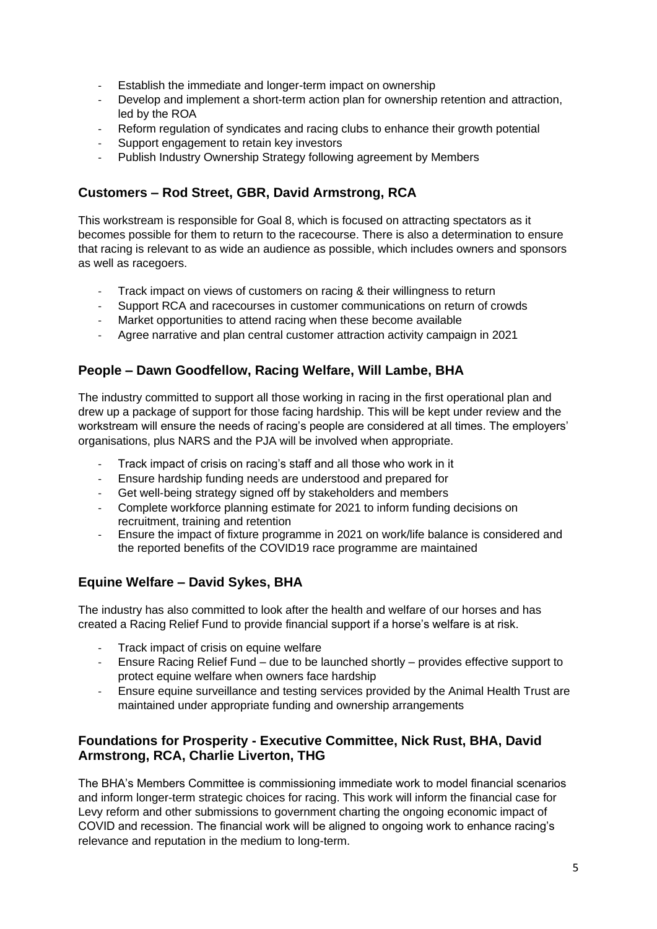- Establish the immediate and longer-term impact on ownership
- Develop and implement a short-term action plan for ownership retention and attraction, led by the ROA
- Reform regulation of syndicates and racing clubs to enhance their growth potential
- Support engagement to retain key investors
- Publish Industry Ownership Strategy following agreement by Members

#### **Customers – Rod Street, GBR, David Armstrong, RCA**

This workstream is responsible for Goal 8, which is focused on attracting spectators as it becomes possible for them to return to the racecourse. There is also a determination to ensure that racing is relevant to as wide an audience as possible, which includes owners and sponsors as well as racegoers.

- Track impact on views of customers on racing & their willingness to return
- Support RCA and racecourses in customer communications on return of crowds
- Market opportunities to attend racing when these become available
- Agree narrative and plan central customer attraction activity campaign in 2021

#### **People – Dawn Goodfellow, Racing Welfare, Will Lambe, BHA**

The industry committed to support all those working in racing in the first operational plan and drew up a package of support for those facing hardship. This will be kept under review and the workstream will ensure the needs of racing's people are considered at all times. The employers' organisations, plus NARS and the PJA will be involved when appropriate.

- Track impact of crisis on racing's staff and all those who work in it
- Ensure hardship funding needs are understood and prepared for
- Get well-being strategy signed off by stakeholders and members
- Complete workforce planning estimate for 2021 to inform funding decisions on recruitment, training and retention
- Ensure the impact of fixture programme in 2021 on work/life balance is considered and the reported benefits of the COVID19 race programme are maintained

#### **Equine Welfare – David Sykes, BHA**

The industry has also committed to look after the health and welfare of our horses and has created a Racing Relief Fund to provide financial support if a horse's welfare is at risk.

- Track impact of crisis on equine welfare<br>- Fnsure Racing Relief Fund due to be la
- Ensure Racing Relief Fund due to be launched shortly provides effective support to protect equine welfare when owners face hardship
- Ensure equine surveillance and testing services provided by the Animal Health Trust are maintained under appropriate funding and ownership arrangements

#### **Foundations for Prosperity - Executive Committee, Nick Rust, BHA, David Armstrong, RCA, Charlie Liverton, THG**

The BHA's Members Committee is commissioning immediate work to model financial scenarios and inform longer-term strategic choices for racing. This work will inform the financial case for Levy reform and other submissions to government charting the ongoing economic impact of COVID and recession. The financial work will be aligned to ongoing work to enhance racing's relevance and reputation in the medium to long-term.